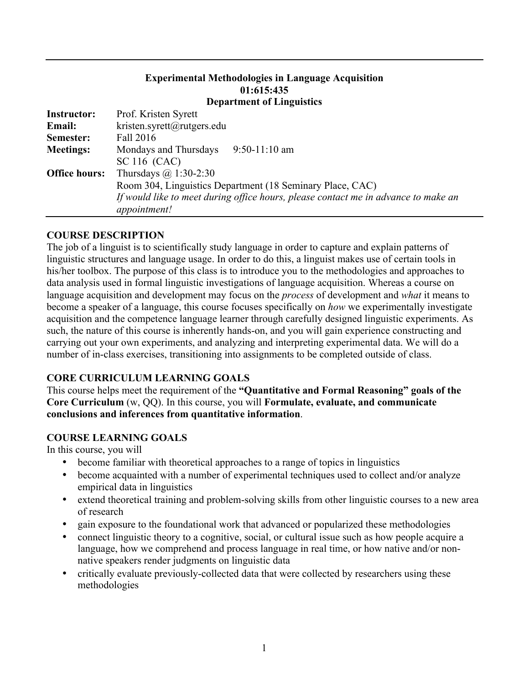# **Experimental Methodologies in Language Acquisition 01:615:435**

### **Department of Linguistics**

| <b>Instructor:</b>   | Prof. Kristen Syrett                                                               |  |  |  |
|----------------------|------------------------------------------------------------------------------------|--|--|--|
| <b>Email:</b>        | kristen.syrett@rutgers.edu                                                         |  |  |  |
| Semester:            | Fall 2016                                                                          |  |  |  |
| <b>Meetings:</b>     | Mondays and Thursdays<br>$9:50-11:10$ am                                           |  |  |  |
|                      | SC 116 (CAC)                                                                       |  |  |  |
| <b>Office hours:</b> | Thursdays $\omega$ 1:30-2:30                                                       |  |  |  |
|                      | Room 304, Linguistics Department (18 Seminary Place, CAC)                          |  |  |  |
|                      | If would like to meet during office hours, please contact me in advance to make an |  |  |  |
|                      | appointment!                                                                       |  |  |  |

### **COURSE DESCRIPTION**

The job of a linguist is to scientifically study language in order to capture and explain patterns of linguistic structures and language usage. In order to do this, a linguist makes use of certain tools in his/her toolbox. The purpose of this class is to introduce you to the methodologies and approaches to data analysis used in formal linguistic investigations of language acquisition. Whereas a course on language acquisition and development may focus on the *process* of development and *what* it means to become a speaker of a language, this course focuses specifically on *how* we experimentally investigate acquisition and the competence language learner through carefully designed linguistic experiments. As such, the nature of this course is inherently hands-on, and you will gain experience constructing and carrying out your own experiments, and analyzing and interpreting experimental data. We will do a number of in-class exercises, transitioning into assignments to be completed outside of class.

### **CORE CURRICULUM LEARNING GOALS**

This course helps meet the requirement of the **"Quantitative and Formal Reasoning" goals of the Core Curriculum** (w, QQ). In this course, you will **Formulate, evaluate, and communicate conclusions and inferences from quantitative information**.

## **COURSE LEARNING GOALS**

In this course, you will

- become familiar with theoretical approaches to a range of topics in linguistics
- become acquainted with a number of experimental techniques used to collect and/or analyze empirical data in linguistics
- extend theoretical training and problem-solving skills from other linguistic courses to a new area of research
- gain exposure to the foundational work that advanced or popularized these methodologies
- connect linguistic theory to a cognitive, social, or cultural issue such as how people acquire a language, how we comprehend and process language in real time, or how native and/or nonnative speakers render judgments on linguistic data
- critically evaluate previously-collected data that were collected by researchers using these methodologies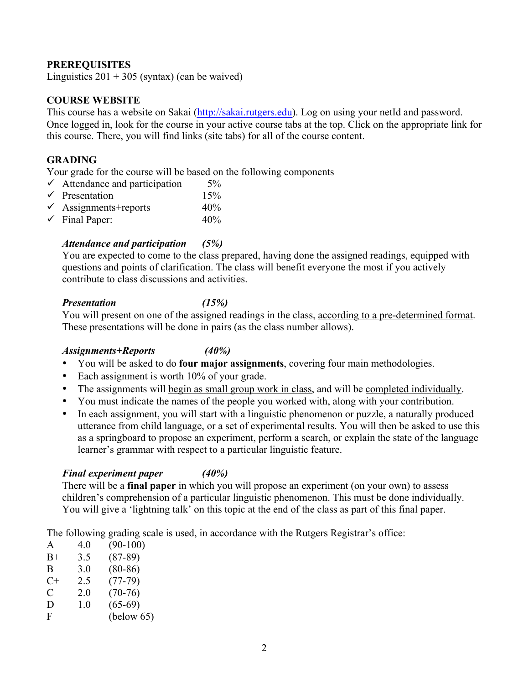### **PREREQUISITES**

Linguistics  $201 + 305$  (syntax) (can be waived)

### **COURSE WEBSITE**

This course has a website on Sakai (http://sakai.rutgers.edu). Log on using your netId and password. Once logged in, look for the course in your active course tabs at the top. Click on the appropriate link for this course. There, you will find links (site tabs) for all of the course content.

### **GRADING**

Your grade for the course will be based on the following components

| $\checkmark$ Attendance and participation | $5\%$ |
|-------------------------------------------|-------|
| $\checkmark$ Presentation                 | 15%   |
| $\checkmark$ Assignments+reports          | 40%   |
| $\checkmark$ Final Paper:                 | 40%   |

### *Attendance and participation (5%)*

You are expected to come to the class prepared, having done the assigned readings, equipped with questions and points of clarification. The class will benefit everyone the most if you actively contribute to class discussions and activities.

#### *Presentation (15%)*

You will present on one of the assigned readings in the class, according to a pre-determined format. These presentations will be done in pairs (as the class number allows).

#### *Assignments+Reports (40%)*

- You will be asked to do **four major assignments**, covering four main methodologies.
- Each assignment is worth 10% of your grade.
- The assignments will begin as small group work in class, and will be completed individually.
- You must indicate the names of the people you worked with, along with your contribution.
- In each assignment, you will start with a linguistic phenomenon or puzzle, a naturally produced utterance from child language, or a set of experimental results. You will then be asked to use this as a springboard to propose an experiment, perform a search, or explain the state of the language learner's grammar with respect to a particular linguistic feature.

### *Final experiment paper (40%)*

There will be a **final paper** in which you will propose an experiment (on your own) to assess children's comprehension of a particular linguistic phenomenon. This must be done individually. You will give a 'lightning talk' on this topic at the end of the class as part of this final paper.

The following grading scale is used, in accordance with the Rutgers Registrar's office:

| A    | 4.0 | $(90-100)$ |
|------|-----|------------|
| $B+$ | 3.5 | $(87-89)$  |
| B    | 3.0 | $(80-86)$  |
| $C+$ | 2.5 | $(77-79)$  |
| C    | 2.0 | $(70-76)$  |
| D    | 1.0 | $(65-69)$  |
| F    |     | (below 65) |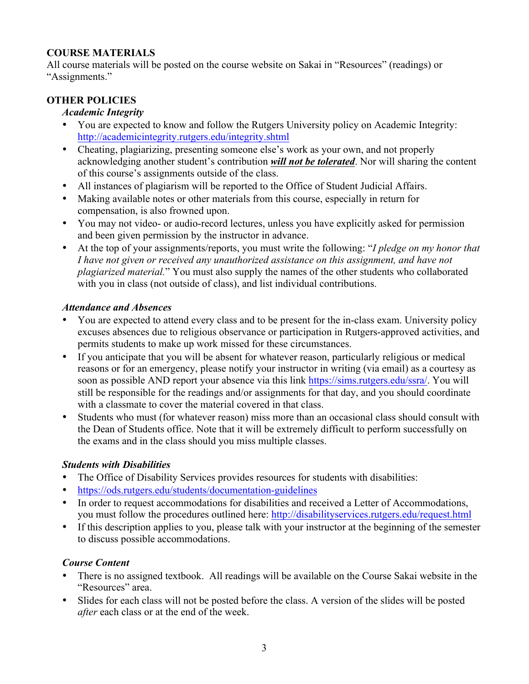## **COURSE MATERIALS**

All course materials will be posted on the course website on Sakai in "Resources" (readings) or "Assignments."

## **OTHER POLICIES**

## *Academic Integrity*

- You are expected to know and follow the Rutgers University policy on Academic Integrity: http://academicintegrity.rutgers.edu/integrity.shtml
- Cheating, plagiarizing, presenting someone else's work as your own, and not properly acknowledging another student's contribution *will not be tolerated*. Nor will sharing the content of this course's assignments outside of the class.
- All instances of plagiarism will be reported to the Office of Student Judicial Affairs.
- Making available notes or other materials from this course, especially in return for compensation, is also frowned upon.
- You may not video- or audio-record lectures, unless you have explicitly asked for permission and been given permission by the instructor in advance.
- At the top of your assignments/reports, you must write the following: "*I pledge on my honor that I have not given or received any unauthorized assistance on this assignment, and have not plagiarized material.*" You must also supply the names of the other students who collaborated with you in class (not outside of class), and list individual contributions.

### *Attendance and Absences*

- You are expected to attend every class and to be present for the in-class exam. University policy excuses absences due to religious observance or participation in Rutgers-approved activities, and permits students to make up work missed for these circumstances.
- If you anticipate that you will be absent for whatever reason, particularly religious or medical reasons or for an emergency, please notify your instructor in writing (via email) as a courtesy as soon as possible AND report your absence via this link https://sims.rutgers.edu/ssra/. You will still be responsible for the readings and/or assignments for that day, and you should coordinate with a classmate to cover the material covered in that class.
- Students who must (for whatever reason) miss more than an occasional class should consult with the Dean of Students office. Note that it will be extremely difficult to perform successfully on the exams and in the class should you miss multiple classes.

## *Students with Disabilities*

- The Office of Disability Services provides resources for students with disabilities:
- https://ods.rutgers.edu/students/documentation-guidelines
- In order to request accommodations for disabilities and received a Letter of Accommodations, you must follow the procedures outlined here: http://disabilityservices.rutgers.edu/request.html
- If this description applies to you, please talk with your instructor at the beginning of the semester to discuss possible accommodations.

## *Course Content*

- There is no assigned textbook. All readings will be available on the Course Sakai website in the "Resources" area.
- Slides for each class will not be posted before the class. A version of the slides will be posted *after* each class or at the end of the week.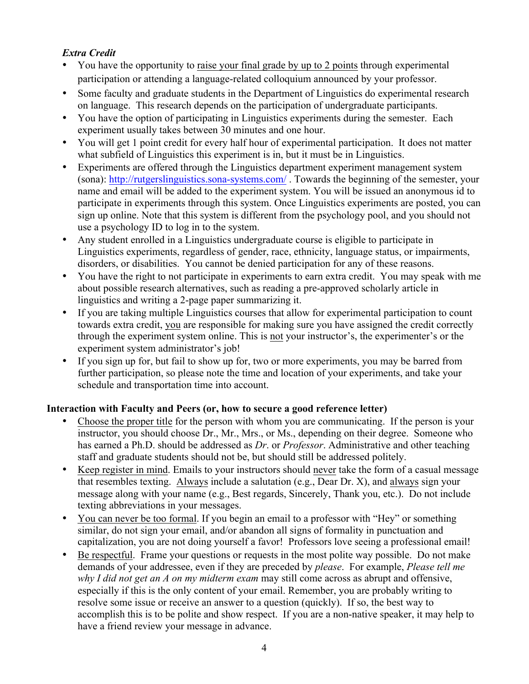## *Extra Credit*

- You have the opportunity to raise your final grade by up to 2 points through experimental participation or attending a language-related colloquium announced by your professor.
- Some faculty and graduate students in the Department of Linguistics do experimental research on language. This research depends on the participation of undergraduate participants.
- You have the option of participating in Linguistics experiments during the semester. Each experiment usually takes between 30 minutes and one hour.
- You will get 1 point credit for every half hour of experimental participation. It does not matter what subfield of Linguistics this experiment is in, but it must be in Linguistics.
- Experiments are offered through the Linguistics department experiment management system (sona): http://rutgerslinguistics.sona-systems.com/ . Towards the beginning of the semester, your name and email will be added to the experiment system. You will be issued an anonymous id to participate in experiments through this system. Once Linguistics experiments are posted, you can sign up online. Note that this system is different from the psychology pool, and you should not use a psychology ID to log in to the system.
- Any student enrolled in a Linguistics undergraduate course is eligible to participate in Linguistics experiments, regardless of gender, race, ethnicity, language status, or impairments, disorders, or disabilities. You cannot be denied participation for any of these reasons.
- You have the right to not participate in experiments to earn extra credit. You may speak with me about possible research alternatives, such as reading a pre-approved scholarly article in linguistics and writing a 2-page paper summarizing it.
- If you are taking multiple Linguistics courses that allow for experimental participation to count towards extra credit, you are responsible for making sure you have assigned the credit correctly through the experiment system online. This is not your instructor's, the experimenter's or the experiment system administrator's job!
- If you sign up for, but fail to show up for, two or more experiments, you may be barred from further participation, so please note the time and location of your experiments, and take your schedule and transportation time into account.

# **Interaction with Faculty and Peers (or, how to secure a good reference letter)**

- Choose the proper title for the person with whom you are communicating. If the person is your instructor, you should choose Dr., Mr., Mrs., or Ms., depending on their degree. Someone who has earned a Ph.D. should be addressed as *Dr*. or *Professor*. Administrative and other teaching staff and graduate students should not be, but should still be addressed politely.
- Keep register in mind. Emails to your instructors should never take the form of a casual message that resembles texting. Always include a salutation (e.g., Dear Dr. X), and always sign your message along with your name (e.g., Best regards, Sincerely, Thank you, etc.). Do not include texting abbreviations in your messages.
- You can never be too formal. If you begin an email to a professor with "Hey" or something similar, do not sign your email, and/or abandon all signs of formality in punctuation and capitalization, you are not doing yourself a favor! Professors love seeing a professional email!
- Be respectful. Frame your questions or requests in the most polite way possible. Do not make demands of your addressee, even if they are preceded by *please*. For example, *Please tell me why I did not get an A on my midterm exam* may still come across as abrupt and offensive, especially if this is the only content of your email. Remember, you are probably writing to resolve some issue or receive an answer to a question (quickly). If so, the best way to accomplish this is to be polite and show respect. If you are a non-native speaker, it may help to have a friend review your message in advance.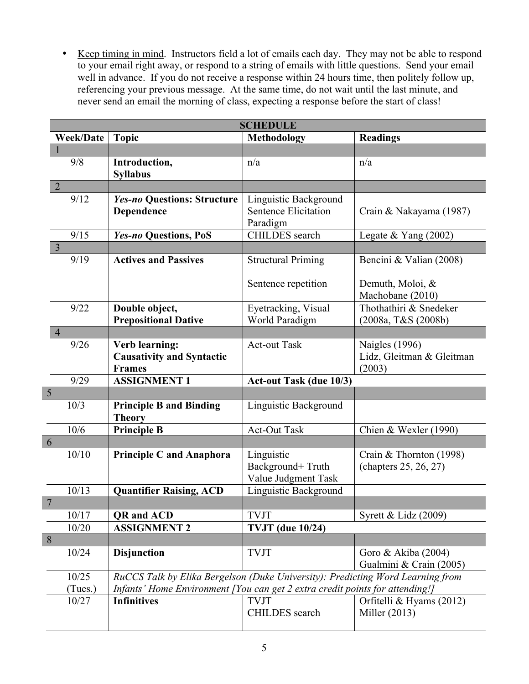• Keep timing in mind. Instructors field a lot of emails each day. They may not be able to respond to your email right away, or respond to a string of emails with little questions. Send your email well in advance. If you do not receive a response within 24 hours time, then politely follow up, referencing your previous message. At the same time, do not wait until the last minute, and never send an email the morning of class, expecting a response before the start of class!

| <b>SCHEDULE</b>  |                                                                     |                                                                                |                                                              |  |
|------------------|---------------------------------------------------------------------|--------------------------------------------------------------------------------|--------------------------------------------------------------|--|
| <b>Week/Date</b> | <b>Topic</b>                                                        | <b>Methodology</b>                                                             | <b>Readings</b>                                              |  |
|                  |                                                                     |                                                                                |                                                              |  |
| 9/8              | Introduction,<br><b>Syllabus</b>                                    | n/a                                                                            | n/a                                                          |  |
| $\overline{2}$   |                                                                     |                                                                                |                                                              |  |
| 9/12             | <b>Yes-no Questions: Structure</b><br>Dependence                    | Linguistic Background<br><b>Sentence Elicitation</b><br>Paradigm               | Crain & Nakayama (1987)                                      |  |
| 9/15             | Yes-no Questions, PoS                                               | <b>CHILDES</b> search                                                          | Legate & Yang $(2002)$                                       |  |
| $\overline{3}$   |                                                                     |                                                                                |                                                              |  |
| 9/19             | <b>Actives and Passives</b>                                         | <b>Structural Priming</b>                                                      | Bencini & Valian (2008)                                      |  |
|                  |                                                                     | Sentence repetition                                                            | Demuth, Moloi, &<br>Machobane (2010)                         |  |
| 9/22             | Double object,<br><b>Prepositional Dative</b>                       | Eyetracking, Visual<br>World Paradigm                                          | Thothathiri & Snedeker<br>(2008a, T&S (2008b)                |  |
| $\overline{4}$   |                                                                     |                                                                                |                                                              |  |
| 9/26             | Verb learning:<br><b>Causativity and Syntactic</b><br><b>Frames</b> | <b>Act-out Task</b>                                                            | <b>Naigles</b> (1996)<br>Lidz, Gleitman & Gleitman<br>(2003) |  |
| 9/29             | <b>ASSIGNMENT 1</b>                                                 | <b>Act-out Task (due 10/3)</b>                                                 |                                                              |  |
| $\sqrt{5}$       |                                                                     |                                                                                |                                                              |  |
| 10/3             | <b>Principle B and Binding</b><br><b>Theory</b>                     | Linguistic Background                                                          |                                                              |  |
| 10/6             | <b>Principle B</b>                                                  | <b>Act-Out Task</b>                                                            | Chien & Wexler (1990)                                        |  |
| 6                |                                                                     |                                                                                |                                                              |  |
| 10/10            | <b>Principle C and Anaphora</b>                                     | Linguistic<br>Background+Truth<br>Value Judgment Task                          | Crain & Thornton (1998)<br>(chapters 25, 26, 27)             |  |
| 10/13            | <b>Quantifier Raising, ACD</b>                                      | Linguistic Background                                                          |                                                              |  |
| $\overline{7}$   |                                                                     |                                                                                |                                                              |  |
| 10/17            | <b>QR</b> and <b>ACD</b>                                            | <b>TVJT</b>                                                                    | Syrett & Lidz (2009)                                         |  |
| 10/20            | <b>ASSIGNMENT 2</b>                                                 | <b>TVJT</b> (due 10/24)                                                        |                                                              |  |
| $\,8\,$          |                                                                     |                                                                                |                                                              |  |
| 10/24            | <b>Disjunction</b>                                                  | <b>TVJT</b>                                                                    | Goro & Akiba (2004)<br>Gualmini & Crain (2005)               |  |
| 10/25            |                                                                     | RuCCS Talk by Elika Bergelson (Duke University): Predicting Word Learning from |                                                              |  |
| (Tues.)          |                                                                     | Infants' Home Environment [You can get 2 extra credit points for attending!]   |                                                              |  |
| 10/27            | <b>Infinitives</b>                                                  | <b>TVJT</b><br>CHILDES search                                                  | Orfitelli & Hyams (2012)<br>Miller (2013)                    |  |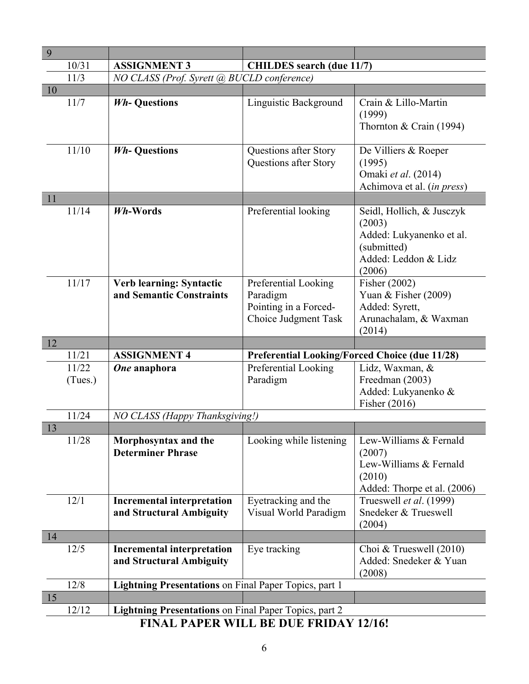| 9                                            |                                                               |                                                           |                                                                                                     |  |  |
|----------------------------------------------|---------------------------------------------------------------|-----------------------------------------------------------|-----------------------------------------------------------------------------------------------------|--|--|
| 10/31                                        | <b>ASSIGNMENT 3</b>                                           | <b>CHILDES</b> search (due 11/7)                          |                                                                                                     |  |  |
| 11/3                                         | NO CLASS (Prof. Syrett @ BUCLD conference)                    |                                                           |                                                                                                     |  |  |
| 10                                           |                                                               |                                                           |                                                                                                     |  |  |
| 11/7                                         | <b>Wh-Questions</b>                                           | Linguistic Background                                     | Crain & Lillo-Martin<br>(1999)<br>Thornton & Crain (1994)                                           |  |  |
| 11/10<br>11                                  | <b>Wh-Questions</b>                                           | Questions after Story<br>Questions after Story            | De Villiers & Roeper<br>(1995)<br>Omaki et al. (2014)<br>Achimova et al. (in press)                 |  |  |
| 11/14                                        | Wh-Words                                                      | Preferential looking                                      | Seidl, Hollich, & Jusczyk                                                                           |  |  |
|                                              |                                                               |                                                           | (2003)<br>Added: Lukyanenko et al.<br>(submitted)<br>Added: Leddon & Lidz<br>(2006)                 |  |  |
| 11/17                                        | Verb learning: Syntactic                                      | Preferential Looking                                      | Fisher (2002)                                                                                       |  |  |
|                                              | and Semantic Constraints                                      | Paradigm<br>Pointing in a Forced-<br>Choice Judgment Task | Yuan & Fisher $(2009)$<br>Added: Syrett,<br>Arunachalam, & Waxman<br>(2014)                         |  |  |
| 12                                           |                                                               |                                                           |                                                                                                     |  |  |
| 11/21                                        | <b>ASSIGNMENT 4</b>                                           | <b>Preferential Looking/Forced Choice (due 11/28)</b>     |                                                                                                     |  |  |
| 11/22<br>(Tues.)                             | One anaphora                                                  | Preferential Looking<br>Paradigm                          | Lidz, Waxman, &<br>Freedman (2003)<br>Added: Lukyanenko &<br>Fisher $(2016)$                        |  |  |
| 11/24                                        | NO CLASS (Happy Thanksgiving!)                                |                                                           |                                                                                                     |  |  |
| 13                                           |                                                               |                                                           |                                                                                                     |  |  |
| 11/28                                        | Morphosyntax and the<br><b>Determiner Phrase</b>              | Looking while listening                                   | Lew-Williams & Fernald<br>(2007)<br>Lew-Williams & Fernald<br>(2010)<br>Added: Thorpe et al. (2006) |  |  |
| 12/1                                         | <b>Incremental interpretation</b><br>and Structural Ambiguity | Eyetracking and the<br>Visual World Paradigm              | Trueswell et al. (1999)<br>Snedeker & Trueswell<br>(2004)                                           |  |  |
| 14                                           |                                                               |                                                           |                                                                                                     |  |  |
| 12/5                                         | <b>Incremental interpretation</b><br>and Structural Ambiguity | Eye tracking                                              | Choi & Trueswell (2010)<br>Added: Snedeker & Yuan<br>(2008)                                         |  |  |
| 12/8                                         | <b>Lightning Presentations on Final Paper Topics, part 1</b>  |                                                           |                                                                                                     |  |  |
| 15                                           |                                                               |                                                           |                                                                                                     |  |  |
| 12/12                                        | Lightning Presentations on Final Paper Topics, part 2         |                                                           |                                                                                                     |  |  |
| <b>FINAL PAPER WILL BE DUE FRIDAY 12/16!</b> |                                                               |                                                           |                                                                                                     |  |  |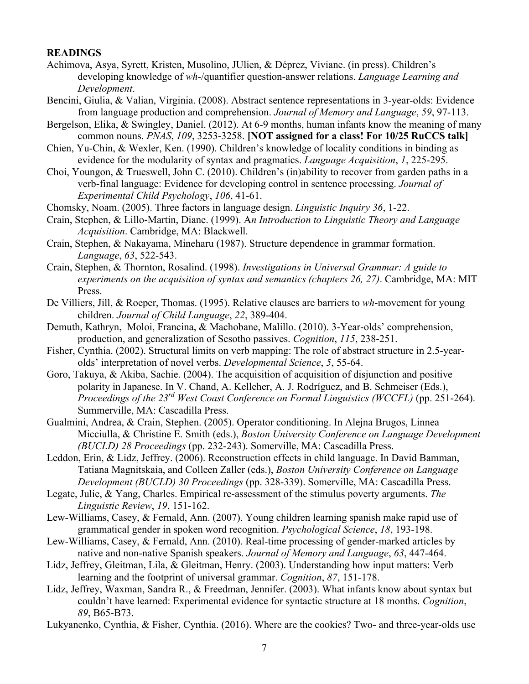#### **READINGS**

- Achimova, Asya, Syrett, Kristen, Musolino, JUlien, & Déprez, Viviane. (in press). Children's developing knowledge of *wh*-/quantifier question-answer relations. *Language Learning and Development*.
- Bencini, Giulia, & Valian, Virginia. (2008). Abstract sentence representations in 3-year-olds: Evidence from language production and comprehension. *Journal of Memory and Language*, *59*, 97-113.
- Bergelson, Elika, & Swingley, Daniel. (2012). At 6-9 months, human infants know the meaning of many common nouns. *PNAS*, *109*, 3253-3258. **[NOT assigned for a class! For 10/25 RuCCS talk]**
- Chien, Yu-Chin, & Wexler, Ken. (1990). Children's knowledge of locality conditions in binding as evidence for the modularity of syntax and pragmatics. *Language Acquisition*, *1*, 225-295.
- Choi, Youngon, & Trueswell, John C. (2010). Children's (in)ability to recover from garden paths in a verb-final language: Evidence for developing control in sentence processing. *Journal of Experimental Child Psychology*, *106*, 41-61.
- Chomsky, Noam. (2005). Three factors in language design. *Linguistic Inquiry 36*, 1-22.
- Crain, Stephen, & Lillo-Martin, Diane. (1999). A*n Introduction to Linguistic Theory and Language Acquisition*. Cambridge, MA: Blackwell.
- Crain, Stephen, & Nakayama, Mineharu (1987). Structure dependence in grammar formation. *Language*, *63*, 522-543.
- Crain, Stephen, & Thornton, Rosalind. (1998). *Investigations in Universal Grammar: A guide to experiments on the acquisition of syntax and semantics (chapters 26, 27)*. Cambridge, MA: MIT Press.
- De Villiers, Jill, & Roeper, Thomas. (1995). Relative clauses are barriers to *wh*-movement for young children. *Journal of Child Language*, *22*, 389-404.
- Demuth, Kathryn, Moloi, Francina, & Machobane, Malillo. (2010). 3-Year-olds' comprehension, production, and generalization of Sesotho passives. *Cognition*, *115*, 238-251.
- Fisher, Cynthia. (2002). Structural limits on verb mapping: The role of abstract structure in 2.5-yearolds' interpretation of novel verbs. *Developmental Science*, *5*, 55-64.
- Goro, Takuya, & Akiba, Sachie. (2004). The acquisition of acquisition of disjunction and positive polarity in Japanese. In V. Chand, A. Kelleher, A. J. Rodríguez, and B. Schmeiser (Eds.), *Proceedings of the 23rd West Coast Conference on Formal Linguistics (WCCFL)* (pp. 251-264). Summerville, MA: Cascadilla Press.
- Gualmini, Andrea, & Crain, Stephen. (2005). Operator conditioning. In Alejna Brugos, Linnea Micciulla, & Christine E. Smith (eds.), *Boston University Conference on Language Development (BUCLD) 28 Proceedings* (pp. 232-243). Somerville, MA: Cascadilla Press.
- Leddon, Erin, & Lidz, Jeffrey. (2006). Reconstruction effects in child language. In David Bamman, Tatiana Magnitskaia, and Colleen Zaller (eds.), *Boston University Conference on Language Development (BUCLD) 30 Proceedings* (pp. 328-339). Somerville, MA: Cascadilla Press.
- Legate, Julie, & Yang, Charles. Empirical re-assessment of the stimulus poverty arguments. *The Linguistic Review*, *19*, 151-162.
- Lew-Williams, Casey, & Fernald, Ann. (2007). Young children learning spanish make rapid use of grammatical gender in spoken word recognition. *Psychological Science*, *18*, 193-198.
- Lew-Williams, Casey, & Fernald, Ann. (2010). Real-time processing of gender-marked articles by native and non-native Spanish speakers. *Journal of Memory and Language*, *63*, 447-464.
- Lidz, Jeffrey, Gleitman, Lila, & Gleitman, Henry. (2003). Understanding how input matters: Verb learning and the footprint of universal grammar. *Cognition*, *87*, 151-178.
- Lidz, Jeffrey, Waxman, Sandra R., & Freedman, Jennifer. (2003). What infants know about syntax but couldn't have learned: Experimental evidence for syntactic structure at 18 months. *Cognition*, *89*, B65-B73.
- Lukyanenko, Cynthia, & Fisher, Cynthia. (2016). Where are the cookies? Two- and three-year-olds use